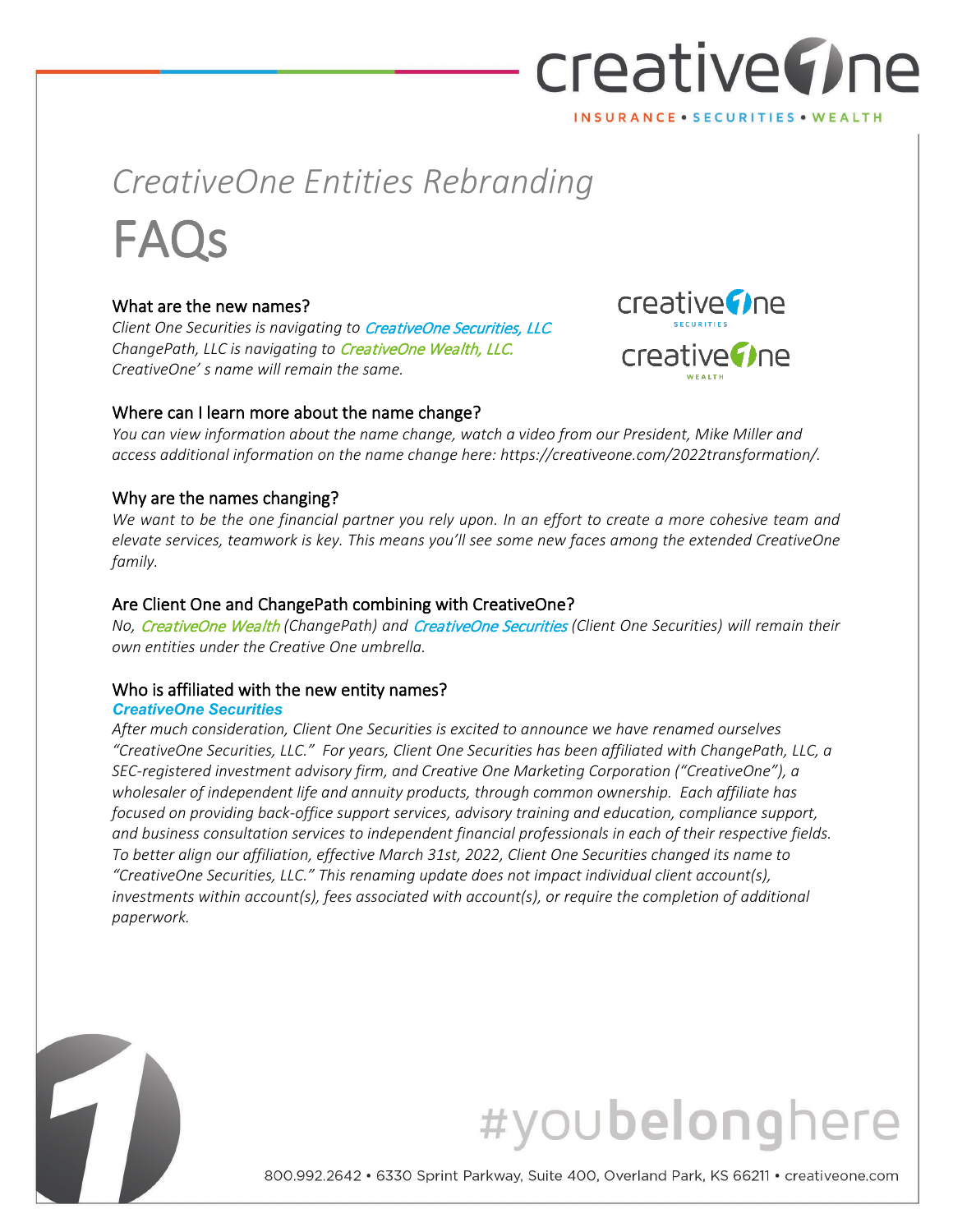## creative The INSURANCE . SECURITIES . WEALTH

## *CreativeOne Entities Rebranding* FAQs

#### What are the new names?

*Client One Securities is navigating to* CreativeOne Securities, LLC*. ChangePath, LLC is navigating to* CreativeOne Wealth, LLC. *CreativeOne' s name will remain the same.*



#### Where can I learn more about the name change?

*You can view information about the name change, watch a video from our President, Mike Miller and access additional information on the name change here: https://creativeone.com/2022transformation/.* 

#### Why are the names changing?

*We want to be the one financial partner you rely upon. In an effort to create a more cohesive team and elevate services, teamwork is key. This means you'll see some new faces among the extended CreativeOne family.*

#### Are Client One and ChangePath combining with CreativeOne?

*No,* CreativeOne Wealth *(ChangePath) and* CreativeOne Securities *(Client One Securities) will remain their own entities under the Creative One umbrella.*

#### Who is affiliated with the new entity names?

#### *CreativeOne Securities*

*After much consideration, Client One Securities is excited to announce we have renamed ourselves "CreativeOne Securities, LLC." For years, Client One Securities has been affiliated with ChangePath, LLC, a SEC-registered investment advisory firm, and Creative One Marketing Corporation ("CreativeOne"), a wholesaler of independent life and annuity products, through common ownership. Each affiliate has focused on providing back-office support services, advisory training and education, compliance support, and business consultation services to independent financial professionals in each of their respective fields. To better align our affiliation, effective March 31st, 2022, Client One Securities changed its name to "CreativeOne Securities, LLC." This renaming update does not impact individual client account(s), investments within account(s), fees associated with account(s), or require the completion of additional paperwork.* 

## #youbelonghere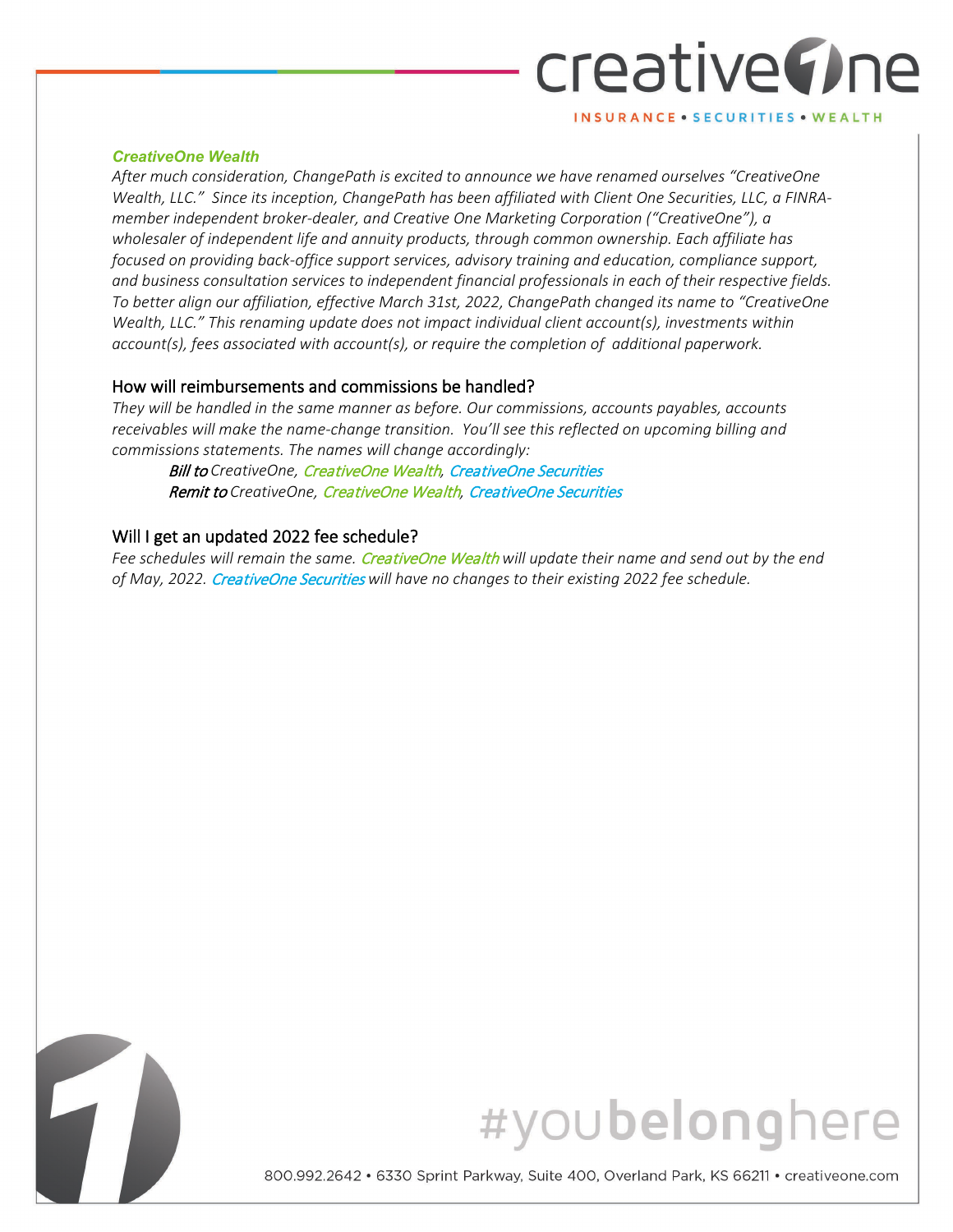# creative() ne

INSURANCE . SECURITIES . WEALTH

#### *CreativeOne Wealth*

*After much consideration, ChangePath is excited to announce we have renamed ourselves "CreativeOne Wealth, LLC." Since its inception, ChangePath has been affiliated with Client One Securities, LLC, a FINRAmember independent broker-dealer, and Creative One Marketing Corporation ("CreativeOne"), a wholesaler of independent life and annuity products, through common ownership. Each affiliate has focused on providing back-office support services, advisory training and education, compliance support, and business consultation services to independent financial professionals in each of their respective fields. To better align our affiliation, effective March 31st, 2022, ChangePath changed its name to "CreativeOne Wealth, LLC." This renaming update does not impact individual client account(s), investments within account(s), fees associated with account(s), or require the completion of additional paperwork.*

#### How will reimbursements and commissions be handled?

*They will be handled in the same manner as before. Our commissions, accounts payables, accounts receivables will make the name-change transition. You'll see this reflected on upcoming billing and commissions statements. The names will change accordingly:*

Bill to *CreativeOne,* CreativeOne Wealth*,* CreativeOne Securities Remit to *CreativeOne,* CreativeOne Wealth*,* CreativeOne Securities

#### Will I get an updated 2022 fee schedule?

*Fee schedules will remain the same.* CreativeOne Wealth *will update their name and send out by the end of May, 2022.* CreativeOne Securities *will have no changes to their existing 2022 fee schedule.*



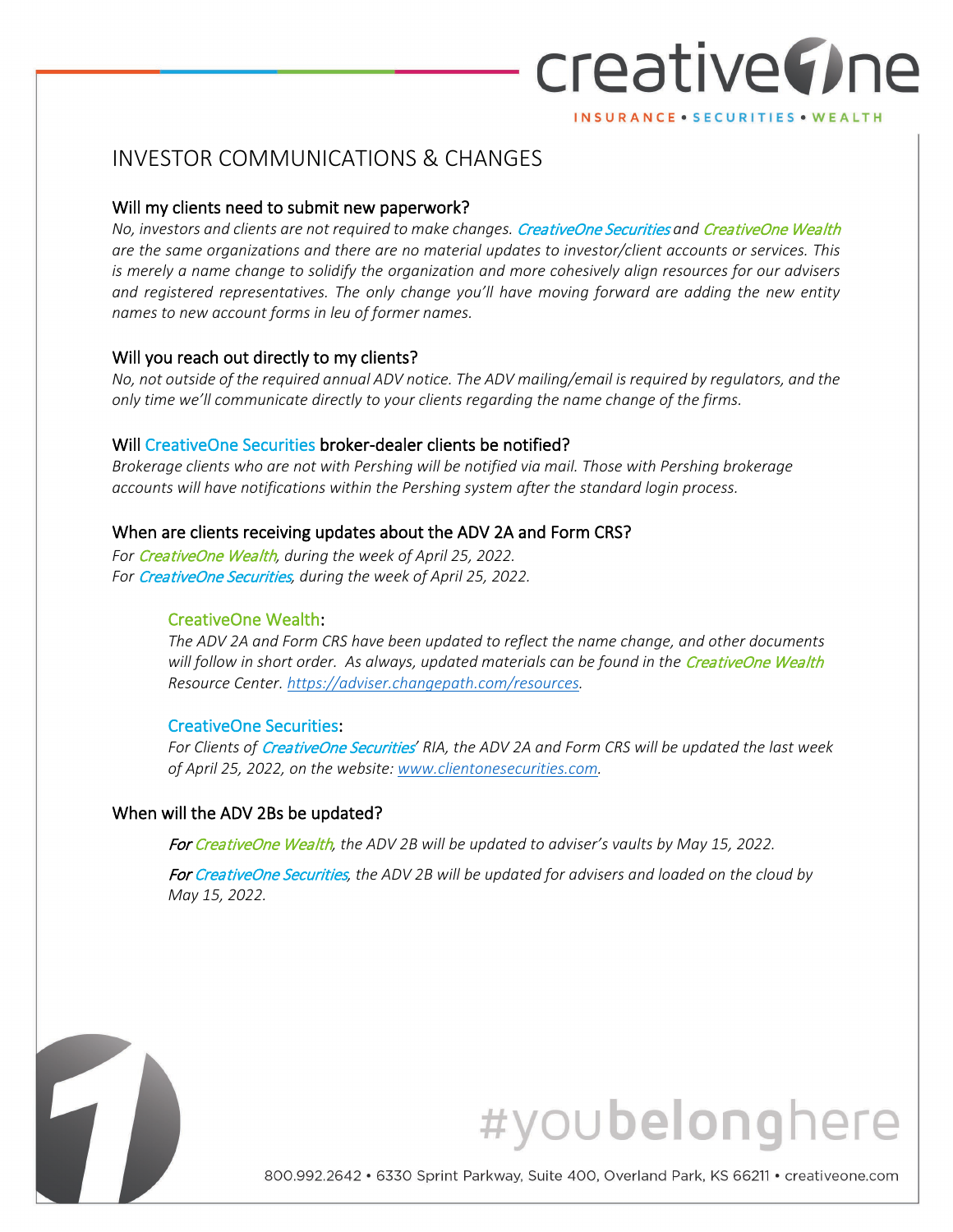### creative() ne INSURANCE . SECURITIES . WEALTH

INVESTOR COMMUNICATIONS & CHANGES

#### Will my clients need to submit new paperwork?

*No, investors and clients are not required to make changes.* CreativeOne Securities *and* CreativeOne Wealth *are the same organizations and there are no material updates to investor/client accounts or services. This is merely a name change to solidify the organization and more cohesively align resources for our advisers and registered representatives. The only change you'll have moving forward are adding the new entity names to new account forms in leu of former names.* 

#### Will you reach out directly to my clients?

*No, not outside of the required annual ADV notice. The ADV mailing/email is required by regulators, and the only time we'll communicate directly to your clients regarding the name change of the firms.* 

#### Will CreativeOne Securities broker-dealer clients be notified?

*Brokerage clients who are not with Pershing will be notified via mail. Those with Pershing brokerage accounts will have notifications within the Pershing system after the standard login process.* 

#### When are clients receiving updates about the ADV 2A and Form CRS?

*For* CreativeOne Wealth*, during the week of April 25, 2022. For* CreativeOne Securities*, during the week of April 25, 2022.*

#### CreativeOne Wealth:

*The ADV 2A and Form CRS have been updated to reflect the name change, and other documents*  will follow in short order. As always, updated materials can be found in the CreativeOne Wealth *Resource Center[. https://adviser.changepath.com/resources.](https://adviser.changepath.com/resources)* 

#### CreativeOne Securities:

*For Clients of* CreativeOne Securities*' RIA, the ADV 2A and Form CRS will be updated the last week of April 25, 2022, on the website[: www.clientonesecurities.com.](http://www.clientonesecurities.com/)* 

#### When will the ADV 2Bs be updated?

7

For CreativeOne Wealth*, the ADV 2B will be updated to adviser's vaults by May 15, 2022.* 

For CreativeOne Securities*, the ADV 2B will be updated for advisers and loaded on the cloud by May 15, 2022.*

## #youbelonghere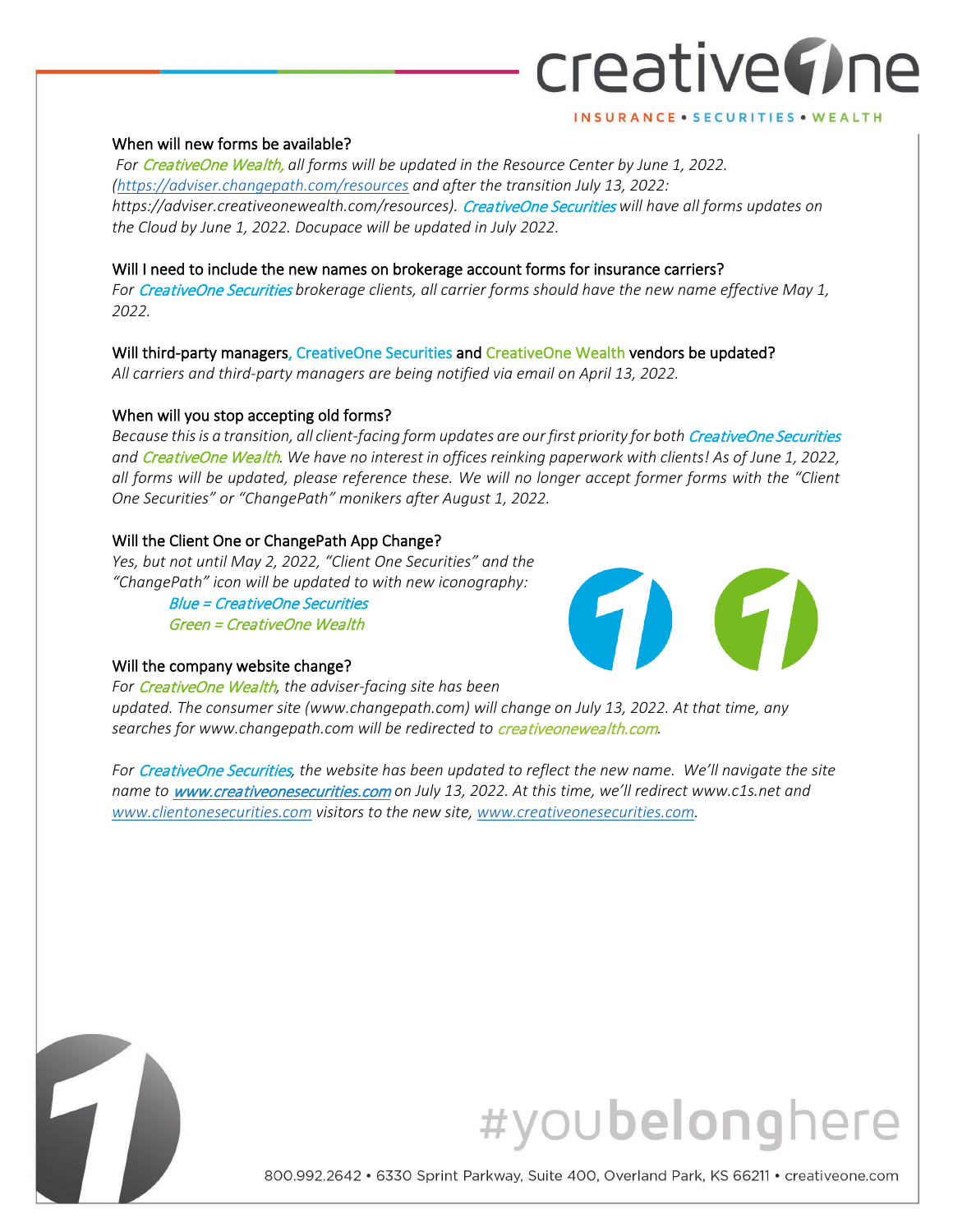## creative The INSURANCE . SECURITIES . WEALTH

#### When will new forms be available?

 *For* CreativeOne Wealth, *all forms will be updated in the Resource Center by June 1, 2022. [\(https://adviser.changepath.com/resources](https://adviser.changepath.com/resources) and after the transition July 13, 2022: https://adviser.creativeonewealth.com/resources).* CreativeOne Securities *will have all forms updates on the Cloud by June 1, 2022. Docupace will be updated in July 2022.*

#### Will I need to include the new names on brokerage account forms for insurance carriers?

*For* CreativeOne Securities *brokerage clients, all carrier forms should have the new name effective May 1, 2022.* 

#### Will third-party managers, CreativeOne Securities and CreativeOne Wealth vendors be updated?

*All carriers and third-party managers are being notified via email on April 13, 2022.* 

#### When will you stop accepting old forms?

*Because this is a transition, all client-facing form updates are our first priority for both* CreativeOne Securities *and* CreativeOne Wealth*. We have no interest in offices reinking paperwork with clients! As of June 1, 2022, all forms will be updated, please reference these. We will no longer accept former forms with the "Client One Securities" or "ChangePath" monikers after August 1, 2022.*

#### Will the Client One or ChangePath App Change?

*Yes, but not until May 2, 2022, "Client One Securities" and the "ChangePath" icon will be updated to with new iconography:*

> Blue = CreativeOne Securities Green = CreativeOne Wealth

#### Will the company website change?



*For* CreativeOne Wealth*, the adviser-facing site has been updated. The consumer site (www.changepath.com) will change on July 13, 2022. At that time, any searches for www.changepath.com will be redirected to* creativeonewealth.com*.* 

*For* CreativeOne Securities*, the website has been updated to reflect the new name. We'll navigate the site name to* [www.creativeonesecurities.com](http://www.creativeonesecurities.com/) *on July 13, 2022. At this time, we'll redirect www.c1s.net and [www.clientonesecurities.com](http://www.clientonesecurities.com/) visitors to the new site[, www.creativeonesecurities.com.](http://www.creativeonesecurities.com/)* 



## #youbelonghere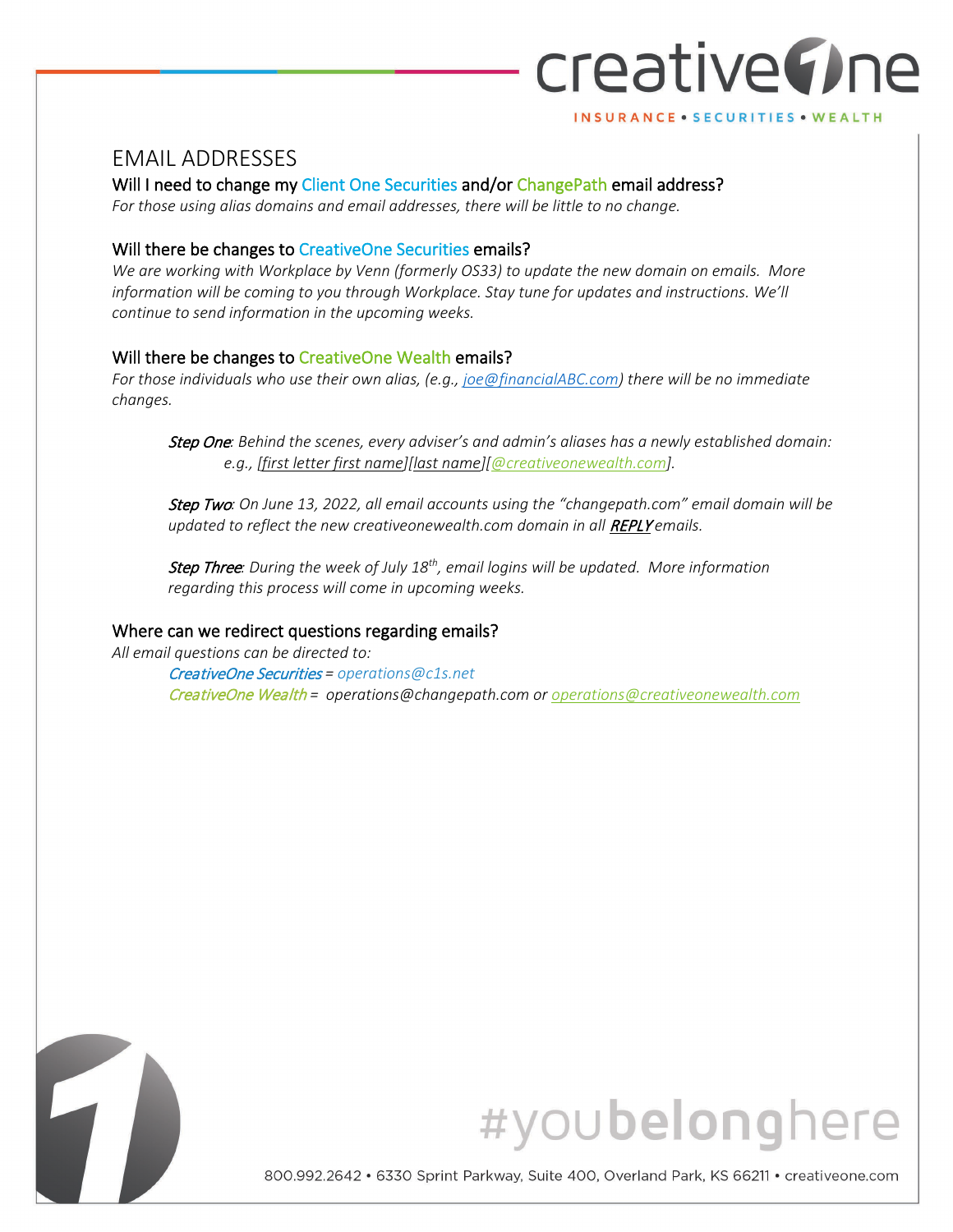## creative(Ine INSURANCE . SECURITIES . WEALTH

#### EMAIL ADDRESSES

Will I need to change my Client One Securities and/or ChangePath email address?

*For those using alias domains and email addresses, there will be little to no change.* 

#### Will there be changes to CreativeOne Securities emails?

*We are working with Workplace by Venn (formerly OS33) to update the new domain on emails. More information will be coming to you through Workplace. Stay tune for updates and instructions. We'll continue to send information in the upcoming weeks.*

#### Will there be changes to CreativeOne Wealth emails?

*For those individuals who use their own alias, (e.g., [joe@financialABC.com\)](mailto:joe@financialABC.com) there will be no immediate changes.* 

Step One*: Behind the scenes, every adviser's and admin's aliases has a newly established domain: e.g., [first letter first name][last name][\[@creativeonewealth.com\]](mailto:name@creativeonewealth.com).* 

Step Two*: On June 13, 2022, all email accounts using the "changepath.com" email domain will be updated to reflect the new creativeonewealth.com domain in all REPLY emails.* 

Step Three*: During the week of July 18th, email logins will be updated. More information regarding this process will come in upcoming weeks.* 

#### Where can we redirect questions regarding emails?

*All email questions can be directed to:* 

CreativeOne Securities *= operations@c1s.net* CreativeOne Wealth *= operations@changepath.com or [operations@creativeonewealth.com](mailto:operations@creativeonewealth.com)*



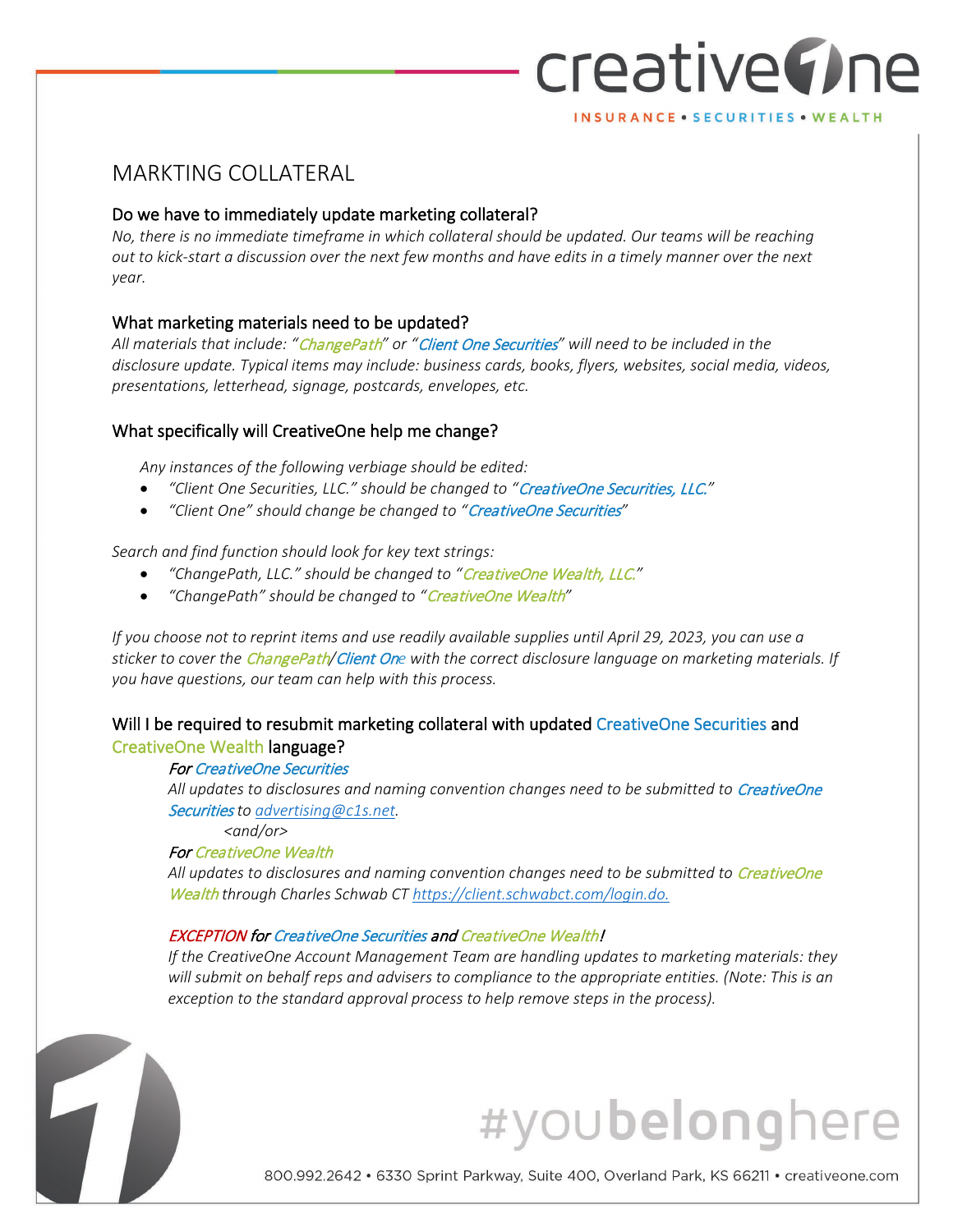## creative The INSURANCE . SECURITIES . WEALTH

#### MARKTING COLLATERAL

#### Do we have to immediately update marketing collateral?

*No, there is no immediate timeframe in which collateral should be updated. Our teams will be reaching out to kick-start a discussion over the next few months and have edits in a timely manner over the next year.*

#### What marketing materials need to be updated?

*All materials that include: "*ChangePath*" or "*Client One Securities*" will need to be included in the disclosure update. Typical items may include: business cards, books, flyers, websites, social media, videos, presentations, letterhead, signage, postcards, envelopes, etc.*

#### What specifically will CreativeOne help me change?

*Any instances of the following verbiage should be edited:*

- *"Client One Securities, LLC." should be changed to "*CreativeOne Securities, LLC.*"*
- *"Client One" should change be changed to "*CreativeOne Securities*"*

#### *Search and find function should look for key text strings:*

- *"ChangePath, LLC." should be changed to "*CreativeOne Wealth, LLC.*"*
- *"ChangePath" should be changed to "*CreativeOne Wealth*"*

*If you choose not to reprint items and use readily available supplies until April 29, 2023, you can use a sticker to cover the* ChangePath*/*Client On*e with the correct disclosure language on marketing materials. If you have questions, our team can help with this process.*

#### Will I be required to resubmit marketing collateral with updated CreativeOne Securities and CreativeOne Wealth language?

#### For CreativeOne Securities

All updates to disclosures and naming convention changes need to be submitted to CreativeOne Securities *to [advertising@c1s.net.](mailto:advertising@c1s.net)* 

*<and/or>*

#### For CreativeOne Wealth

Ì

7

All updates to disclosures and naming convention changes need to be submitted to CreativeOne Wealth *through Charles Schwab CT [https://client.schwabct.com/login.do.](https://client.schwabct.com/login.do)* 

#### EXCEPTION for CreativeOne Securities and CreativeOne Wealth!

*If the CreativeOne Account Management Team are handling updates to marketing materials: they will submit on behalf reps and advisers to compliance to the appropriate entities. (Note: This is an exception to the standard approval process to help remove steps in the process).* 

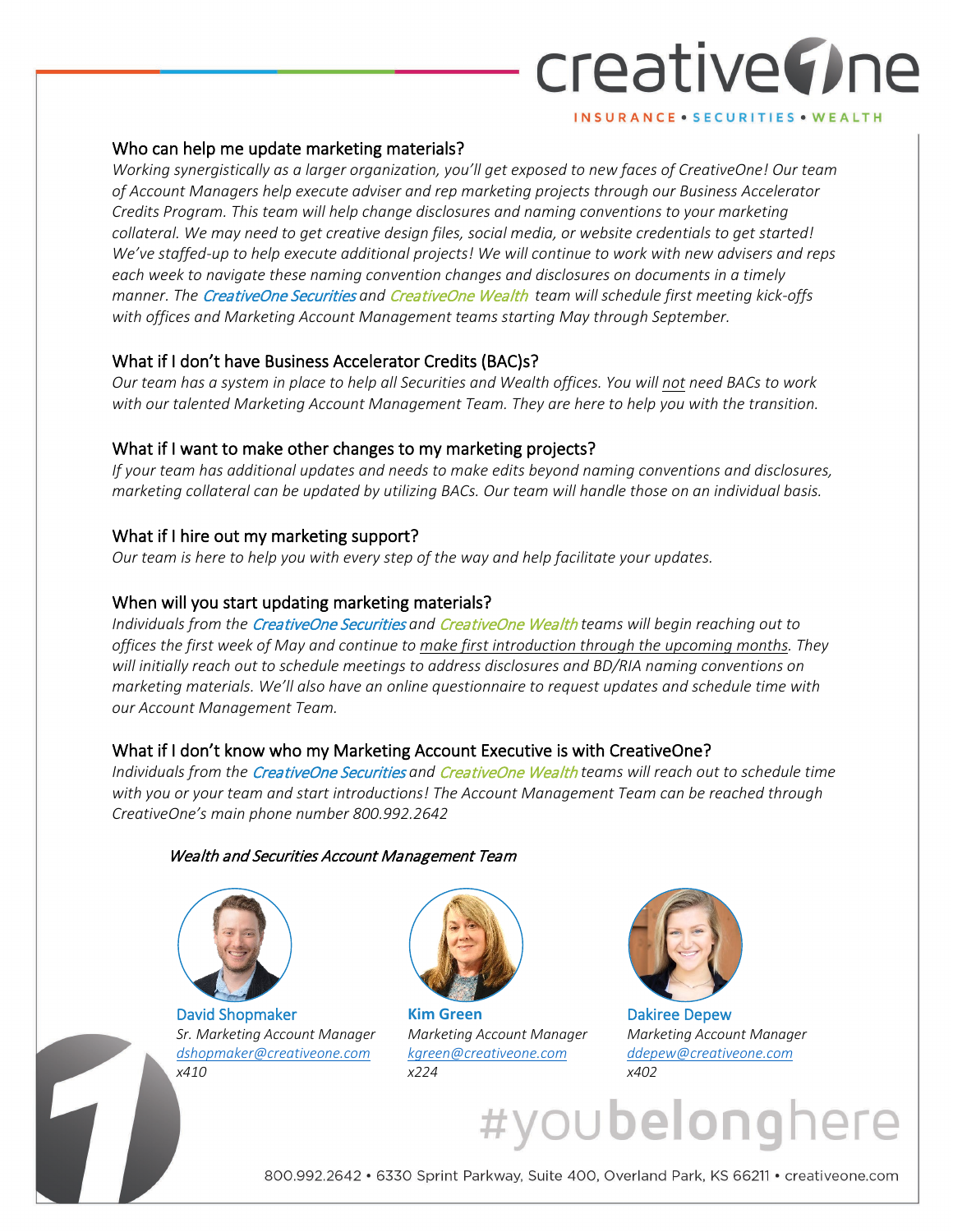# creative The

#### INSURANCE . SECURITIES . WEALTH

#### Who can help me update marketing materials?

*Working synergistically as a larger organization, you'll get exposed to new faces of CreativeOne! Our team of Account Managers help execute adviser and rep marketing projects through our Business Accelerator Credits Program. This team will help change disclosures and naming conventions to your marketing collateral. We may need to get creative design files, social media, or website credentials to get started! We've staffed-up to help execute additional projects! We will continue to work with new advisers and reps each week to navigate these naming convention changes and disclosures on documents in a timely manner. The* CreativeOne Securities *and* CreativeOne Wealth *team will schedule first meeting kick-offs with offices and Marketing Account Management teams starting May through September.*

#### What if I don't have Business Accelerator Credits (BAC)s?

*Our team has a system in place to help all Securities and Wealth offices. You will not need BACs to work with our talented Marketing Account Management Team. They are here to help you with the transition.*

#### What if I want to make other changes to my marketing projects?

*If your team has additional updates and needs to make edits beyond naming conventions and disclosures, marketing collateral can be updated by utilizing BACs. Our team will handle those on an individual basis.*

#### What if I hire out my marketing support?

*Our team is here to help you with every step of the way and help facilitate your updates.*

#### When will you start updating marketing materials?

*Individuals from the* CreativeOne Securities *and* CreativeOne Wealth *teams will begin reaching out to offices the first week of May and continue to make first introduction through the upcoming months. They will initially reach out to schedule meetings to address disclosures and BD/RIA naming conventions on marketing materials. We'll also have an online questionnaire to request updates and schedule time with our Account Management Team.*

#### What if I don't know who my Marketing Account Executive is with CreativeOne?

*Individuals from the* CreativeOne Securities *and* CreativeOne Wealth *teams will reach out to schedule time with you or your team and start introductions! The Account Management Team can be reached through CreativeOne's main phone number 800.992.2642*

#### Wealth and Securities Account Management Team



e.

David Shopmaker *Sr. Marketing Account Manager [dshopmaker@creativeone.com](mailto:dshopmaker@creativeone.com) x410*



**Kim Green** *Marketing Account Manager [kgreen@creativeone.com](mailto:kgreen@creativeone.com)  x224*



Dakiree Depew *Marketing Account Manager [ddepew@creativeone.com](mailto:ddepew@creativeone.com)  x402*

#youbelonghe